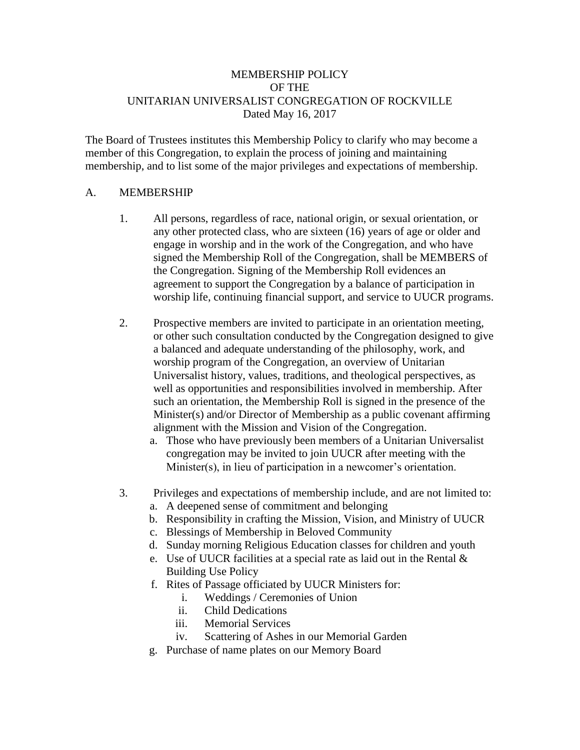## MEMBERSHIP POLICY OF THE UNITARIAN UNIVERSALIST CONGREGATION OF ROCKVILLE Dated May 16, 2017

The Board of Trustees institutes this Membership Policy to clarify who may become a member of this Congregation, to explain the process of joining and maintaining membership, and to list some of the major privileges and expectations of membership.

### A. MEMBERSHIP

- 1. All persons, regardless of race, national origin, or sexual orientation, or any other protected class, who are sixteen (16) years of age or older and engage in worship and in the work of the Congregation, and who have signed the Membership Roll of the Congregation, shall be MEMBERS of the Congregation. Signing of the Membership Roll evidences an agreement to support the Congregation by a balance of participation in worship life, continuing financial support, and service to UUCR programs.
- 2. Prospective members are invited to participate in an orientation meeting, or other such consultation conducted by the Congregation designed to give a balanced and adequate understanding of the philosophy, work, and worship program of the Congregation, an overview of Unitarian Universalist history, values, traditions, and theological perspectives, as well as opportunities and responsibilities involved in membership. After such an orientation, the Membership Roll is signed in the presence of the Minister(s) and/or Director of Membership as a public covenant affirming alignment with the Mission and Vision of the Congregation.
	- a. Those who have previously been members of a Unitarian Universalist congregation may be invited to join UUCR after meeting with the Minister(s), in lieu of participation in a newcomer's orientation.
- 3. Privileges and expectations of membership include, and are not limited to:
	- a. A deepened sense of commitment and belonging
	- b. Responsibility in crafting the Mission, Vision, and Ministry of UUCR
	- c. Blessings of Membership in Beloved Community
	- d. Sunday morning Religious Education classes for children and youth
	- e. Use of UUCR facilities at a special rate as laid out in the Rental & Building Use Policy
	- f. Rites of Passage officiated by UUCR Ministers for:
		- i. Weddings / Ceremonies of Union
		- ii. Child Dedications
		- iii. Memorial Services
		- iv. Scattering of Ashes in our Memorial Garden
	- g. Purchase of name plates on our Memory Board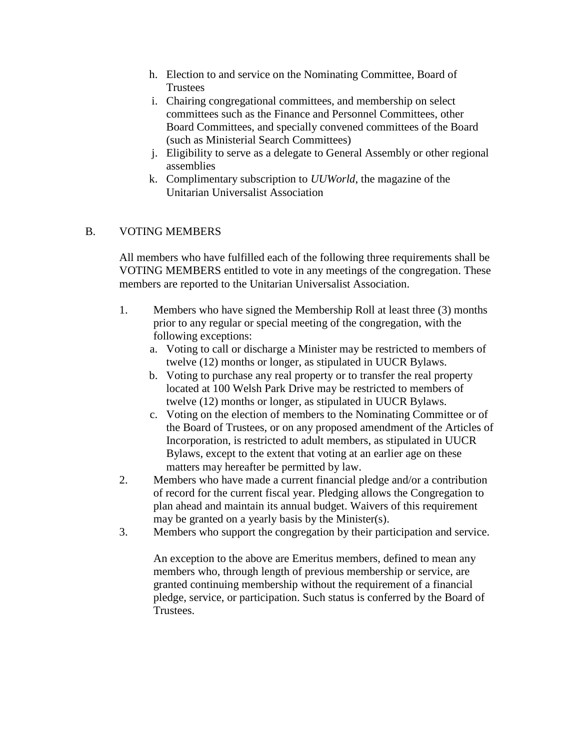- h. Election to and service on the Nominating Committee, Board of **Trustees**
- i. Chairing congregational committees, and membership on select committees such as the Finance and Personnel Committees, other Board Committees, and specially convened committees of the Board (such as Ministerial Search Committees)
- j. Eligibility to serve as a delegate to General Assembly or other regional assemblies
- k. Complimentary subscription to *UUWorld*, the magazine of the Unitarian Universalist Association

# B. VOTING MEMBERS

All members who have fulfilled each of the following three requirements shall be VOTING MEMBERS entitled to vote in any meetings of the congregation. These members are reported to the Unitarian Universalist Association.

- 1. Members who have signed the Membership Roll at least three (3) months prior to any regular or special meeting of the congregation, with the following exceptions:
	- a. Voting to call or discharge a Minister may be restricted to members of twelve (12) months or longer, as stipulated in UUCR Bylaws.
	- b. Voting to purchase any real property or to transfer the real property located at 100 Welsh Park Drive may be restricted to members of twelve (12) months or longer, as stipulated in UUCR Bylaws.
	- c. Voting on the election of members to the Nominating Committee or of the Board of Trustees, or on any proposed amendment of the Articles of Incorporation, is restricted to adult members, as stipulated in UUCR Bylaws, except to the extent that voting at an earlier age on these matters may hereafter be permitted by law.
- 2. Members who have made a current financial pledge and/or a contribution of record for the current fiscal year. Pledging allows the Congregation to plan ahead and maintain its annual budget. Waivers of this requirement may be granted on a yearly basis by the Minister(s).
- 3. Members who support the congregation by their participation and service.

An exception to the above are Emeritus members, defined to mean any members who, through length of previous membership or service, are granted continuing membership without the requirement of a financial pledge, service, or participation. Such status is conferred by the Board of Trustees.